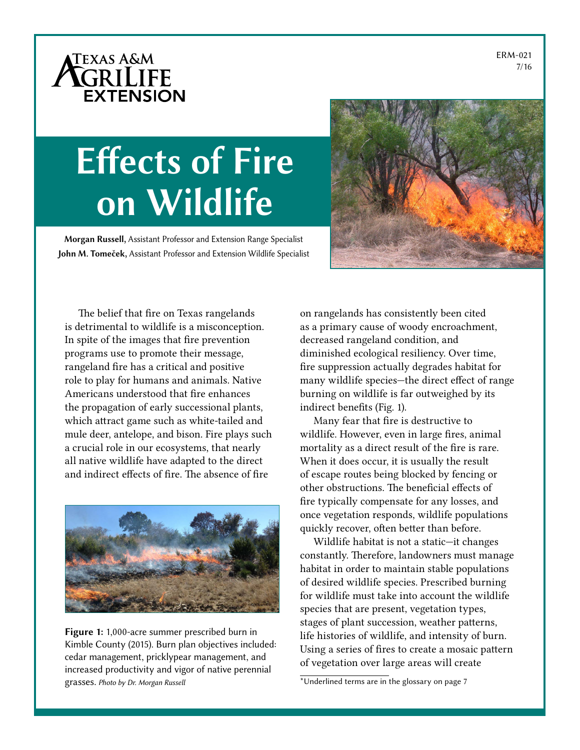ERM-021 7/16

# ATEXAS A&M **EXTENSION**

# Effects of Fire on Wildlife

Morgan Russell, Assistant Professor and Extension Range Specialist John M. Tomeček, Assistant Professor and Extension Wildlife Specialist



The belief that fire on Texas rangelands is detrimental to wildlife is a misconception. In spite of the images that fire prevention programs use to promote their message, rangeland fire has a critical and positive role to play for humans and animals. Native Americans understood that fire enhances the propagation of early successional plants, which attract game such as white-tailed and mule deer, antelope, and bison. Fire plays such a crucial role in our ecosystems, that nearly all native wildlife have adapted to the direct and indirect effects of fire. The absence of fire



Figure 1: 1,000-acre summer prescribed burn in Kimble County (2015). Burn plan objectives included: cedar management, pricklypear management, and increased productivity and vigor of native perennial grasses. *Photo by Dr. Morgan Russell*

on rangelands has consistently been cited as a primary cause of woody encroachment, decreased rangeland condition, and diminished ecological resiliency. Over time, fire suppression actually degrades habitat for many wildlife species—the direct effect of range burning on wildlife is far outweighed by its indirect benefits (Fig. 1).

Many fear that fire is destructive to wildlife. However, even in large fires, animal mortality as a direct result of the fire is rare. When it does occur, it is usually the result of escape routes being blocked by fencing or other obstructions. The beneficial effects of fire typically compensate for any losses, and once vegetation responds, wildlife populations quickly recover, often better than before.

Wildlife habitat is not a static—it changes constantly. Therefore, landowners must manage habitat in order to maintain stable populations of desired wildlife species. Prescribed burning for wildlife must take into account the wildlife species that are present, vegetation types, stages of plant succession, weather patterns, life histories of wildlife, and intensity of burn. Using a series of fires to create a mosaic pattern of vegetation over large areas will create

<sup>\*</sup>Underlined terms are in the glossary on page 7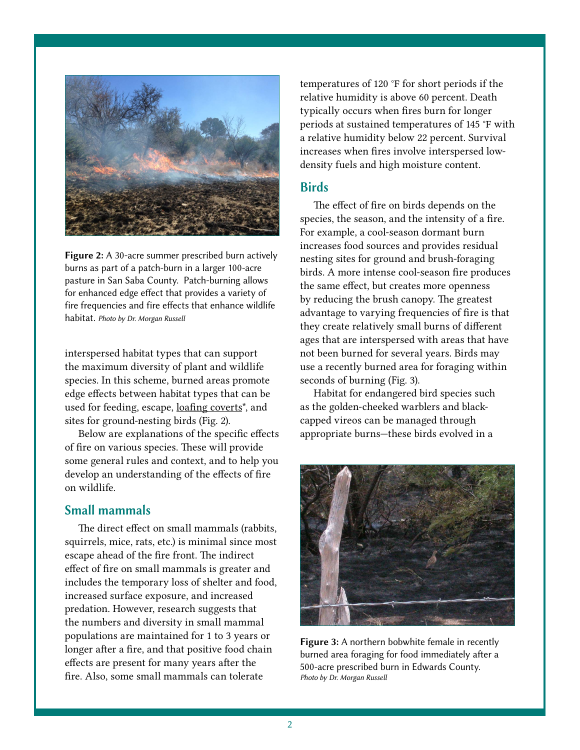

Figure 2: A 30-acre summer prescribed burn actively burns as part of a patch-burn in a larger 100-acre pasture in San Saba County. Patch-burning allows for enhanced edge effect that provides a variety of fire frequencies and fire effects that enhance wildlife habitat. *Photo by Dr. Morgan Russell* 

interspersed habitat types that can support the maximum diversity of plant and wildlife species. In this scheme, burned areas promote edge effects between habitat types that can be used for feeding, escape, loafing coverts\*, and sites for ground-nesting birds (Fig. 2).

Below are explanations of the specific effects of fire on various species. These will provide some general rules and context, and to help you develop an understanding of the effects of fire on wildlife.

#### Small mammals

The direct effect on small mammals (rabbits, squirrels, mice, rats, etc.) is minimal since most escape ahead of the fire front. The indirect effect of fire on small mammals is greater and includes the temporary loss of shelter and food, increased surface exposure, and increased predation. However, research suggests that the numbers and diversity in small mammal populations are maintained for 1 to 3 years or longer after a fire, and that positive food chain effects are present for many years after the fire. Also, some small mammals can tolerate

temperatures of 120 °F for short periods if the relative humidity is above 60 percent. Death typically occurs when fires burn for longer periods at sustained temperatures of 145 °F with a relative humidity below 22 percent. Survival increases when fires involve interspersed lowdensity fuels and high moisture content.

#### **Birds**

The effect of fire on birds depends on the species, the season, and the intensity of a fire. For example, a cool-season dormant burn increases food sources and provides residual nesting sites for ground and brush-foraging birds. A more intense cool-season fire produces the same effect, but creates more openness by reducing the brush canopy. The greatest advantage to varying frequencies of fire is that they create relatively small burns of different ages that are interspersed with areas that have not been burned for several years. Birds may use a recently burned area for foraging within seconds of burning (Fig. 3).

Habitat for endangered bird species such as the golden-cheeked warblers and blackcapped vireos can be managed through appropriate burns—these birds evolved in a



Figure 3: A northern bobwhite female in recently burned area foraging for food immediately after a 500-acre prescribed burn in Edwards County. *Photo by Dr. Morgan Russell*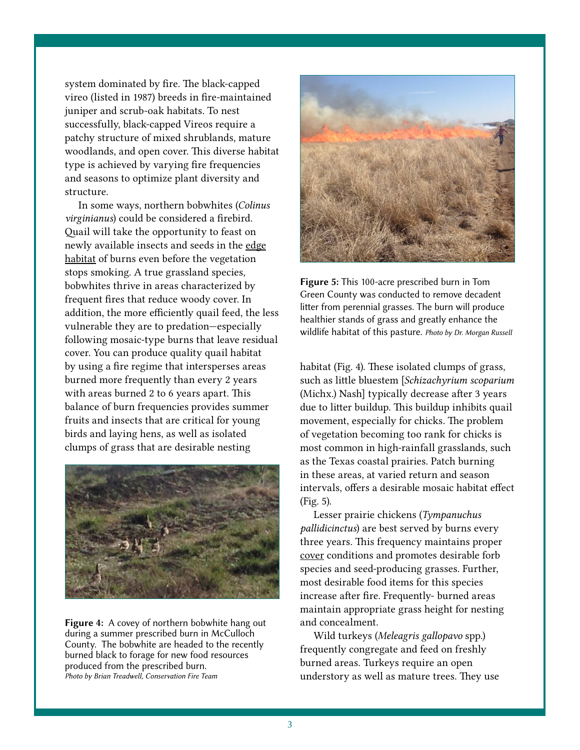system dominated by fire. The black-capped vireo (listed in 1987) breeds in fire-maintained juniper and scrub-oak habitats. To nest successfully, black-capped Vireos require a patchy structure of mixed shrublands, mature woodlands, and open cover. This diverse habitat type is achieved by varying fire frequencies and seasons to optimize plant diversity and structure.

In some ways, northern bobwhites (*Colinus virginianus*) could be considered a firebird. Quail will take the opportunity to feast on newly available insects and seeds in the edge habitat of burns even before the vegetation stops smoking. A true grassland species, bobwhites thrive in areas characterized by frequent fires that reduce woody cover. In addition, the more efficiently quail feed, the less vulnerable they are to predation—especially following mosaic-type burns that leave residual cover. You can produce quality quail habitat by using a fire regime that intersperses areas burned more frequently than every 2 years with areas burned 2 to 6 years apart. This balance of burn frequencies provides summer fruits and insects that are critical for young birds and laying hens, as well as isolated clumps of grass that are desirable nesting



Figure 4: A covey of northern bobwhite hang out during a summer prescribed burn in McCulloch County. The bobwhite are headed to the recently burned black to forage for new food resources produced from the prescribed burn. *Photo by Brian Treadwell, Conservation Fire Team*



Figure 5: This 100-acre prescribed burn in Tom Green County was conducted to remove decadent litter from perennial grasses. The burn will produce healthier stands of grass and greatly enhance the wildlife habitat of this pasture. *Photo by Dr. Morgan Russell*

habitat (Fig. 4). These isolated clumps of grass, such as little bluestem [*Schizachyrium scoparium* (Michx.) Nash] typically decrease after 3 years due to litter buildup. This buildup inhibits quail movement, especially for chicks. The problem of vegetation becoming too rank for chicks is most common in high-rainfall grasslands, such as the Texas coastal prairies. Patch burning in these areas, at varied return and season intervals, offers a desirable mosaic habitat effect (Fig. 5).

Lesser prairie chickens (*Tympanuchus pallidicinctus*) are best served by burns every three years. This frequency maintains proper cover conditions and promotes desirable forb species and seed-producing grasses. Further, most desirable food items for this species increase after fire. Frequently- burned areas maintain appropriate grass height for nesting and concealment.

Wild turkeys (*Meleagris gallopavo* spp.) frequently congregate and feed on freshly burned areas. Turkeys require an open understory as well as mature trees. They use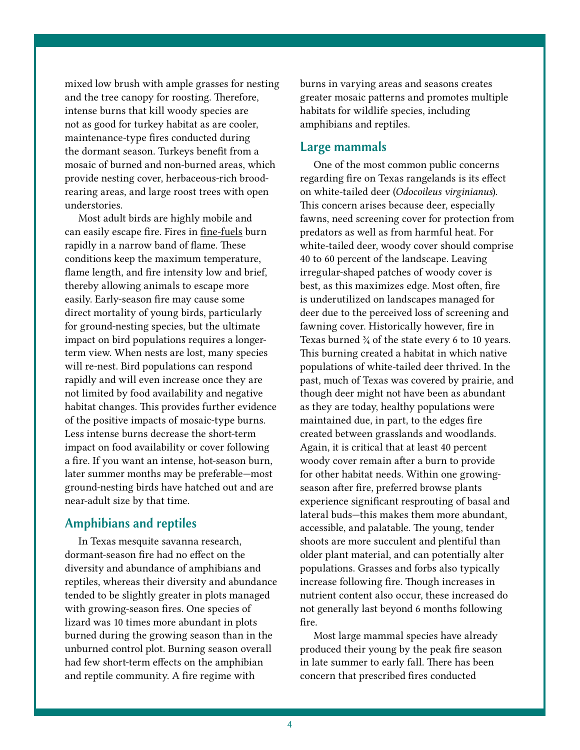mixed low brush with ample grasses for nesting and the tree canopy for roosting. Therefore, intense burns that kill woody species are not as good for turkey habitat as are cooler, maintenance-type fires conducted during the dormant season. Turkeys benefit from a mosaic of burned and non-burned areas, which provide nesting cover, herbaceous-rich broodrearing areas, and large roost trees with open understories.

Most adult birds are highly mobile and can easily escape fire. Fires in fine-fuels burn rapidly in a narrow band of flame. These conditions keep the maximum temperature, flame length, and fire intensity low and brief, thereby allowing animals to escape more easily. Early-season fire may cause some direct mortality of young birds, particularly for ground-nesting species, but the ultimate impact on bird populations requires a longerterm view. When nests are lost, many species will re-nest. Bird populations can respond rapidly and will even increase once they are not limited by food availability and negative habitat changes. This provides further evidence of the positive impacts of mosaic-type burns. Less intense burns decrease the short-term impact on food availability or cover following a fire. If you want an intense, hot-season burn, later summer months may be preferable—most ground-nesting birds have hatched out and are near-adult size by that time.

#### Amphibians and reptiles

In Texas mesquite savanna research, dormant-season fire had no effect on the diversity and abundance of amphibians and reptiles, whereas their diversity and abundance tended to be slightly greater in plots managed with growing-season fires. One species of lizard was 10 times more abundant in plots burned during the growing season than in the unburned control plot. Burning season overall had few short-term effects on the amphibian and reptile community. A fire regime with

burns in varying areas and seasons creates greater mosaic patterns and promotes multiple habitats for wildlife species, including amphibians and reptiles.

#### Large mammals

One of the most common public concerns regarding fire on Texas rangelands is its effect on white-tailed deer (*Odocoileus virginianus*). This concern arises because deer, especially fawns, need screening cover for protection from predators as well as from harmful heat. For white-tailed deer, woody cover should comprise 40 to 60 percent of the landscape. Leaving irregular-shaped patches of woody cover is best, as this maximizes edge. Most often, fire is underutilized on landscapes managed for deer due to the perceived loss of screening and fawning cover. Historically however, fire in Texas burned  $\frac{3}{4}$  of the state every 6 to 10 years. This burning created a habitat in which native populations of white-tailed deer thrived. In the past, much of Texas was covered by prairie, and though deer might not have been as abundant as they are today, healthy populations were maintained due, in part, to the edges fire created between grasslands and woodlands. Again, it is critical that at least 40 percent woody cover remain after a burn to provide for other habitat needs. Within one growingseason after fire, preferred browse plants experience significant resprouting of basal and lateral buds—this makes them more abundant, accessible, and palatable. The young, tender shoots are more succulent and plentiful than older plant material, and can potentially alter populations. Grasses and forbs also typically increase following fire. Though increases in nutrient content also occur, these increased do not generally last beyond 6 months following fire.

Most large mammal species have already produced their young by the peak fire season in late summer to early fall. There has been concern that prescribed fires conducted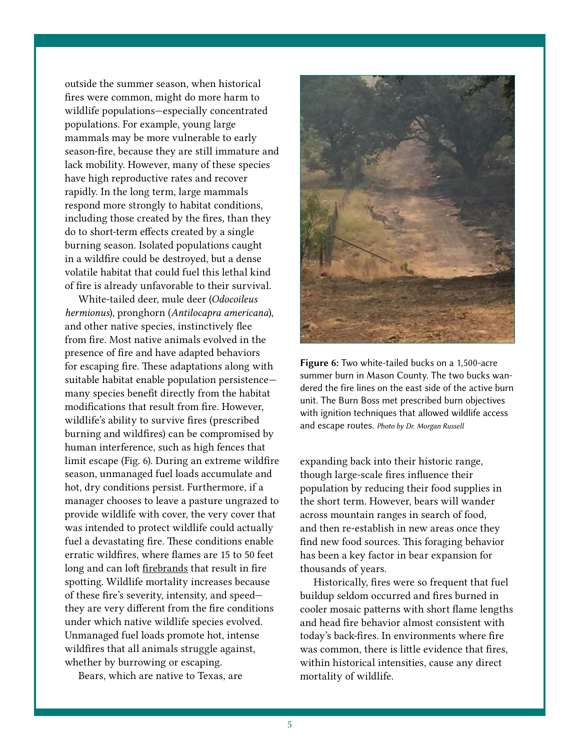outside the summer season, when historical fires were common, might do more harm to wildlife populations—especially concentrated populations. For example, young large mammals may be more vulnerable to early season-fire, because they are still immature and lack mobility. However, many of these species have high reproductive rates and recover rapidly. In the long term, large mammals respond more strongly to habitat conditions, including those created by the fires, than they do to short-term effects created by a single burning season. Isolated populations caught in a wildfire could be destroyed, but a dense volatile habitat that could fuel this lethal kind of fire is already unfavorable to their survival.

White-tailed deer, mule deer (*Odocoileus hermionus*), pronghorn (*Antilocapra americana*), and other native species, instinctively flee from fire. Most native animals evolved in the presence of fire and have adapted behaviors for escaping fire. These adaptations along with suitable habitat enable population persistence many species benefit directly from the habitat modifications that result from fire. However, wildlife's ability to survive fires (prescribed burning and wildfires) can be compromised by human interference, such as high fences that limit escape (Fig. 6). During an extreme wildfire season, unmanaged fuel loads accumulate and hot, dry conditions persist. Furthermore, if a manager chooses to leave a pasture ungrazed to provide wildlife with cover, the very cover that was intended to protect wildlife could actually fuel a devastating fire. These conditions enable erratic wildfires, where flames are 15 to 50 feet long and can loft firebrands that result in fire spotting. Wildlife mortality increases because of these fire's severity, intensity, and speed they are very different from the fire conditions under which native wildlife species evolved. Unmanaged fuel loads promote hot, intense wildfires that all animals struggle against, whether by burrowing or escaping.

Bears, which are native to Texas, are



Figure 6: Two white-tailed bucks on a 1,500-acre summer burn in Mason County. The two bucks wandered the fire lines on the east side of the active burn unit. The Burn Boss met prescribed burn objectives with ignition techniques that allowed wildlife access and escape routes. *Photo by Dr. Morgan Russell*

expanding back into their historic range, though large-scale fires influence their population by reducing their food supplies in the short term. However, bears will wander across mountain ranges in search of food, and then re-establish in new areas once they find new food sources. This foraging behavior has been a key factor in bear expansion for thousands of years.

Historically, fires were so frequent that fuel buildup seldom occurred and fires burned in cooler mosaic patterns with short flame lengths and head fire behavior almost consistent with today's back-fires. In environments where fire was common, there is little evidence that fires, within historical intensities, cause any direct mortality of wildlife.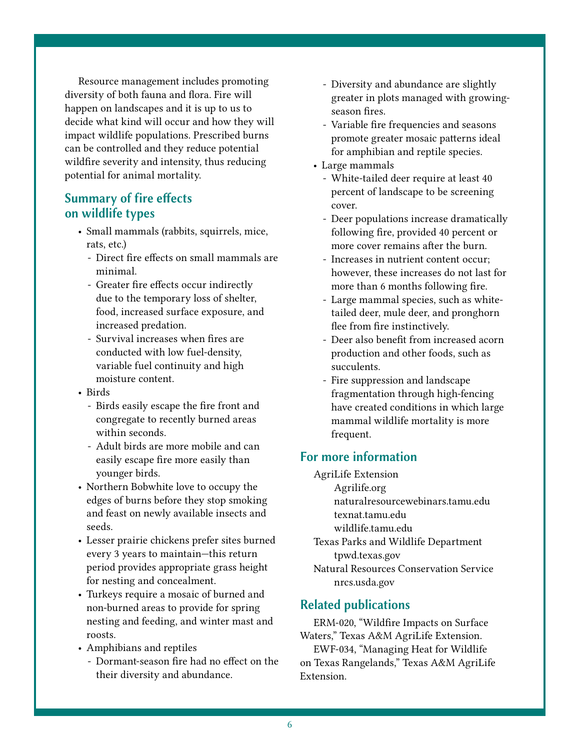Resource management includes promoting diversity of both fauna and flora. Fire will happen on landscapes and it is up to us to decide what kind will occur and how they will impact wildlife populations. Prescribed burns can be controlled and they reduce potential wildfire severity and intensity, thus reducing potential for animal mortality.

## Summary of fire effects on wildlife types

- Small mammals (rabbits, squirrels, mice, rats, etc.)
	- Direct fire effects on small mammals are minimal.
	- Greater fire effects occur indirectly due to the temporary loss of shelter, food, increased surface exposure, and increased predation.
	- Survival increases when fires are conducted with low fuel-density, variable fuel continuity and high moisture content.
- Birds
	- Birds easily escape the fire front and congregate to recently burned areas within seconds.
	- Adult birds are more mobile and can easily escape fire more easily than younger birds.
- Northern Bobwhite love to occupy the edges of burns before they stop smoking and feast on newly available insects and seeds.
- Lesser prairie chickens prefer sites burned every 3 years to maintain—this return period provides appropriate grass height for nesting and concealment.
- Turkeys require a mosaic of burned and non-burned areas to provide for spring nesting and feeding, and winter mast and roosts.
- Amphibians and reptiles
	- Dormant-season fire had no effect on the their diversity and abundance.
- Diversity and abundance are slightly greater in plots managed with growingseason fires.
- Variable fire frequencies and seasons promote greater mosaic patterns ideal for amphibian and reptile species.
- Large mammals
	- White-tailed deer require at least 40 percent of landscape to be screening cover.
	- Deer populations increase dramatically following fire, provided 40 percent or more cover remains after the burn.
	- Increases in nutrient content occur; however, these increases do not last for more than 6 months following fire.
	- Large mammal species, such as whitetailed deer, mule deer, and pronghorn flee from fire instinctively.
	- Deer also benefit from increased acorn production and other foods, such as succulents.
	- Fire suppression and landscape fragmentation through high-fencing have created conditions in which large mammal wildlife mortality is more frequent.

### For more information

- AgriLife Extension
	- [Agrilife.org](http://agrilife.org)
		- [naturalresourcewebinars.tamu.edu](http://naturalresourcewebinars.tamu.edu)
	- [texnat.tamu.edu](http://texnat.tamu.edu)
	- [wildlife.tamu.edu](http://wildlife.tamu.edu)
- Texas Parks and Wildlife Department [tpwd.texas.gov](http://tpwd.texas.gov)
- Natural Resources Conservation Service [nrcs.usda.gov](http://nrcs.usda.gov)

# Related publications

ERM-020, "Wildfire Impacts on Surface Waters," Texas A&M AgriLife Extension. EWF-034, "Managing Heat for Wildlife on Texas Rangelands," Texas A&M AgriLife Extension.